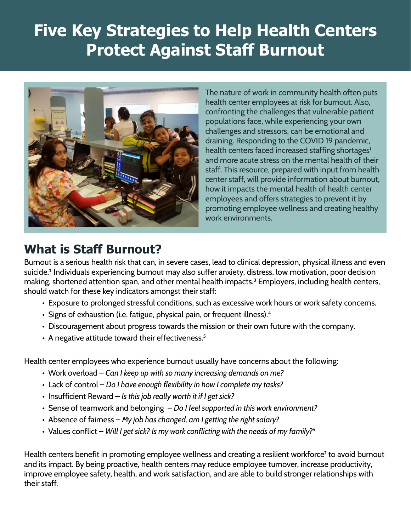# **Five Key Strategies to Help Health Centers Protect Against Staff Burnout**



The nature of work in community health often puts health center employees at risk for burnout. Also, confronting the challenges that vulnerable patient populations face, while experiencing your own challenges and stressors, can be emotional and draining. Responding to the COVID 19 pandemic, health centers faced increased staffing shortages<sup>1</sup> and more acute stress on the mental health of their staff. This resource, prepared with input from health center staff, will provide information about burnout, how it impacts the mental health of health center employees and offers strategies to prevent it by promoting employee wellness and creating healthy work environments.

### **What is Staff Burnout?**

Burnout is a serious health risk that can, in severe cases, lead to clinical depression, physical illness and even suicide.2 Individuals experiencing burnout may also suffer anxiety, distress, low motivation, poor decision making, shortened attention span, and other mental health impacts.<sup>3</sup> Employers, including health centers, should watch for these key indicators amongst their staff:

- Exposure to prolonged stressful conditions, such as excessive work hours or work safety concerns.
- Signs of exhaustion (i.e. fatigue, physical pain, or frequent illness).<sup>4</sup>
- Discouragement about progress towards the mission or their own future with the company.
- A negative attitude toward their effectiveness.<sup>5</sup>

Health center employees who experience burnout usually have concerns about the following:

- Work overload *Can I keep up with so many increasing demands on me?*
- Lack of control *Do I have enough flexibility in how I complete my tasks?*
- Insufficient Reward  *Is this job really worth it if I get sick?*
- Sense of teamwork and belonging *Do I feel supported in this work environment?*
- Absence of fairness *My job has changed, am I getting the right salary?*
- Values conflict *Will I get sick? Is my work conflicting with the needs of my family?6*

Health centers benefit in promoting employee wellness and creating a resilient workforce<sup>7</sup> to avoid burnout and its impact. By being proactive, health centers may reduce employee turnover, increase productivity, improve employee safety, health, and work satisfaction, and are able to build stronger relationships with their staff.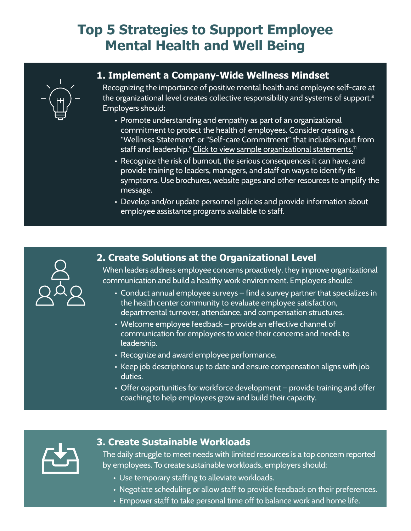## **Top 5 Strategies to Support Employee Mental Health and Well Being**



### **1. Implement a Company-Wide Wellness Mindset**

Recognizing the importance of positive mental health and employee self-care at the organizational level creates collective responsibility and systems of support.<sup>8</sup> Employers should:

- Promote understanding and empathy as part of an organizational commitment to protect the health of employees. Consider creating a "Wellness Statement" or "Self-care Commitment" that includes input from staff and leadership.<sup>9</sup> [Click to view sample organizational statements.](http://tompkinscountyny.gov/files2/wellness/healthyplaces/pdf/Mission-Statement-examples.pdf)<sup>11</sup>
- Recognize the risk of burnout, the serious consequences it can have, and provide training to leaders, managers, and staff on ways to identify its symptoms. Use brochures, website pages and other resources to amplify the message.
- Develop and/or update personnel policies and provide information about employee assistance programs available to staff.



#### **2. Create Solutions at the Organizational Level**

When leaders address employee concerns proactively, they improve organizational communication and build a healthy work environment. Employers should:

- Conduct annual employee surveys find a survey partner that specializes in the health center community to evaluate employee satisfaction, departmental turnover, attendance, and compensation structures.
- Welcome employee feedback provide an effective channel of communication for employees to voice their concerns and needs to leadership.
- Recognize and award employee performance.
- Keep job descriptions up to date and ensure compensation aligns with job duties.
- Offer opportunities for workforce development provide training and offer coaching to help employees grow and build their capacity.



#### **3. Create Sustainable Workloads**

The daily struggle to meet needs with limited resources is a top concern reported by employees. To create sustainable workloads, employers should:

- Use temporary staffing to alleviate workloads.
- Negotiate scheduling or allow staff to provide feedback on their preferences.
- Empower staff to take personal time off to balance work and home life.